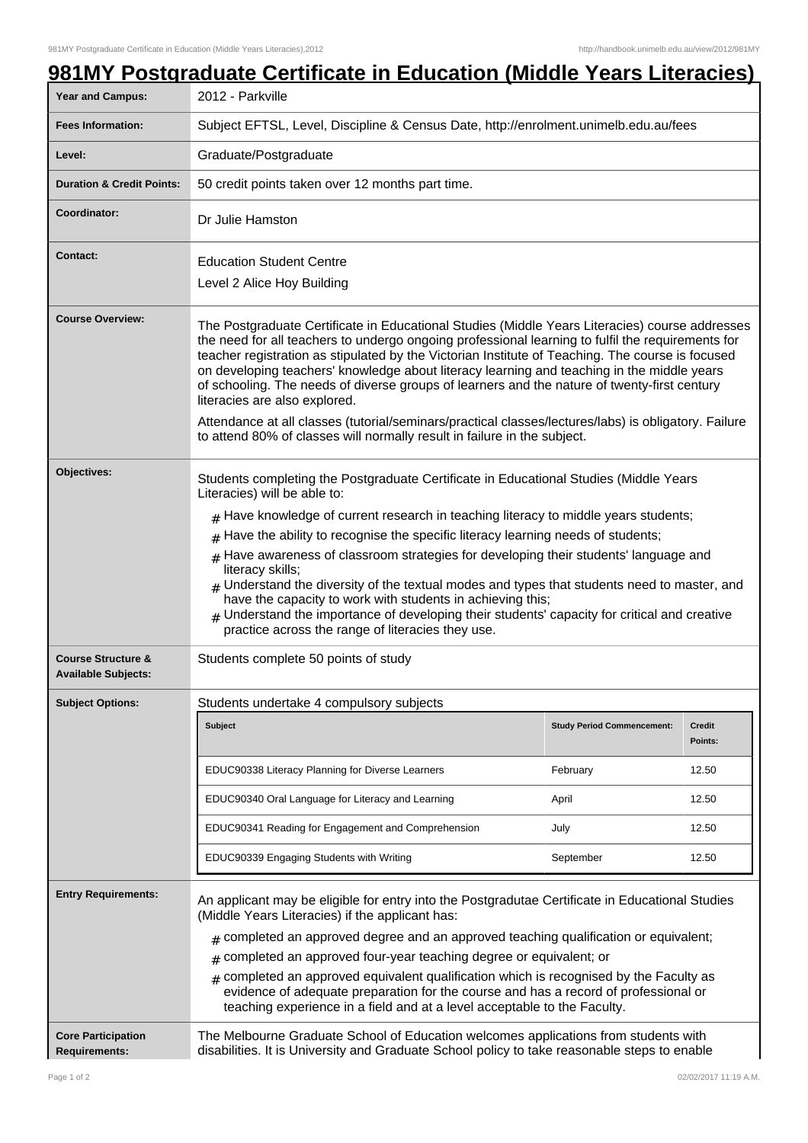| Year and Campus:                                            | 2012 - Parkville                                                                                                                                                                                                                                                                                                                                                                                                                                                                                                                                                                                                                                                                                                                              |                                   |                          |  |
|-------------------------------------------------------------|-----------------------------------------------------------------------------------------------------------------------------------------------------------------------------------------------------------------------------------------------------------------------------------------------------------------------------------------------------------------------------------------------------------------------------------------------------------------------------------------------------------------------------------------------------------------------------------------------------------------------------------------------------------------------------------------------------------------------------------------------|-----------------------------------|--------------------------|--|
| <b>Fees Information:</b>                                    | Subject EFTSL, Level, Discipline & Census Date, http://enrolment.unimelb.edu.au/fees                                                                                                                                                                                                                                                                                                                                                                                                                                                                                                                                                                                                                                                          |                                   |                          |  |
| Level:                                                      | Graduate/Postgraduate                                                                                                                                                                                                                                                                                                                                                                                                                                                                                                                                                                                                                                                                                                                         |                                   |                          |  |
| <b>Duration &amp; Credit Points:</b>                        | 50 credit points taken over 12 months part time.                                                                                                                                                                                                                                                                                                                                                                                                                                                                                                                                                                                                                                                                                              |                                   |                          |  |
| Coordinator:                                                | Dr Julie Hamston                                                                                                                                                                                                                                                                                                                                                                                                                                                                                                                                                                                                                                                                                                                              |                                   |                          |  |
| <b>Contact:</b>                                             | <b>Education Student Centre</b><br>Level 2 Alice Hoy Building                                                                                                                                                                                                                                                                                                                                                                                                                                                                                                                                                                                                                                                                                 |                                   |                          |  |
| <b>Course Overview:</b>                                     | The Postgraduate Certificate in Educational Studies (Middle Years Literacies) course addresses<br>the need for all teachers to undergo ongoing professional learning to fulfil the requirements for<br>teacher registration as stipulated by the Victorian Institute of Teaching. The course is focused<br>on developing teachers' knowledge about literacy learning and teaching in the middle years<br>of schooling. The needs of diverse groups of learners and the nature of twenty-first century<br>literacies are also explored.<br>Attendance at all classes (tutorial/seminars/practical classes/lectures/labs) is obligatory. Failure<br>to attend 80% of classes will normally result in failure in the subject.                    |                                   |                          |  |
| Objectives:                                                 | Students completing the Postgraduate Certificate in Educational Studies (Middle Years<br>Literacies) will be able to:<br>$#$ Have knowledge of current research in teaching literacy to middle years students;<br>$#$ Have the ability to recognise the specific literacy learning needs of students;<br>$#$ Have awareness of classroom strategies for developing their students' language and<br>literacy skills;<br>$_{\#}$ Understand the diversity of the textual modes and types that students need to master, and<br>have the capacity to work with students in achieving this;<br>$#$ Understand the importance of developing their students' capacity for critical and creative<br>practice across the range of literacies they use. |                                   |                          |  |
| <b>Course Structure &amp;</b><br><b>Available Subjects:</b> | Students complete 50 points of study                                                                                                                                                                                                                                                                                                                                                                                                                                                                                                                                                                                                                                                                                                          |                                   |                          |  |
| <b>Subject Options:</b>                                     | Students undertake 4 compulsory subjects                                                                                                                                                                                                                                                                                                                                                                                                                                                                                                                                                                                                                                                                                                      |                                   |                          |  |
|                                                             | <b>Subject</b>                                                                                                                                                                                                                                                                                                                                                                                                                                                                                                                                                                                                                                                                                                                                | <b>Study Period Commencement:</b> | <b>Credit</b><br>Points: |  |
|                                                             | EDUC90338 Literacy Planning for Diverse Learners                                                                                                                                                                                                                                                                                                                                                                                                                                                                                                                                                                                                                                                                                              | February                          | 12.50                    |  |
|                                                             | EDUC90340 Oral Language for Literacy and Learning                                                                                                                                                                                                                                                                                                                                                                                                                                                                                                                                                                                                                                                                                             | April                             | 12.50                    |  |
|                                                             | EDUC90341 Reading for Engagement and Comprehension                                                                                                                                                                                                                                                                                                                                                                                                                                                                                                                                                                                                                                                                                            | July                              | 12.50                    |  |
|                                                             | EDUC90339 Engaging Students with Writing                                                                                                                                                                                                                                                                                                                                                                                                                                                                                                                                                                                                                                                                                                      | September                         | 12.50                    |  |
| <b>Entry Requirements:</b>                                  | An applicant may be eligible for entry into the Postgradutae Certificate in Educational Studies<br>(Middle Years Literacies) if the applicant has:                                                                                                                                                                                                                                                                                                                                                                                                                                                                                                                                                                                            |                                   |                          |  |
|                                                             | $_{\text{\#}}$ completed an approved degree and an approved teaching qualification or equivalent;                                                                                                                                                                                                                                                                                                                                                                                                                                                                                                                                                                                                                                             |                                   |                          |  |
|                                                             | completed an approved four-year teaching degree or equivalent; or                                                                                                                                                                                                                                                                                                                                                                                                                                                                                                                                                                                                                                                                             |                                   |                          |  |
|                                                             | completed an approved equivalent qualification which is recognised by the Faculty as<br>#<br>evidence of adequate preparation for the course and has a record of professional or<br>teaching experience in a field and at a level acceptable to the Faculty.                                                                                                                                                                                                                                                                                                                                                                                                                                                                                  |                                   |                          |  |
| <b>Core Participation</b><br><b>Requirements:</b>           | The Melbourne Graduate School of Education welcomes applications from students with<br>disabilities. It is University and Graduate School policy to take reasonable steps to enable                                                                                                                                                                                                                                                                                                                                                                                                                                                                                                                                                           |                                   |                          |  |